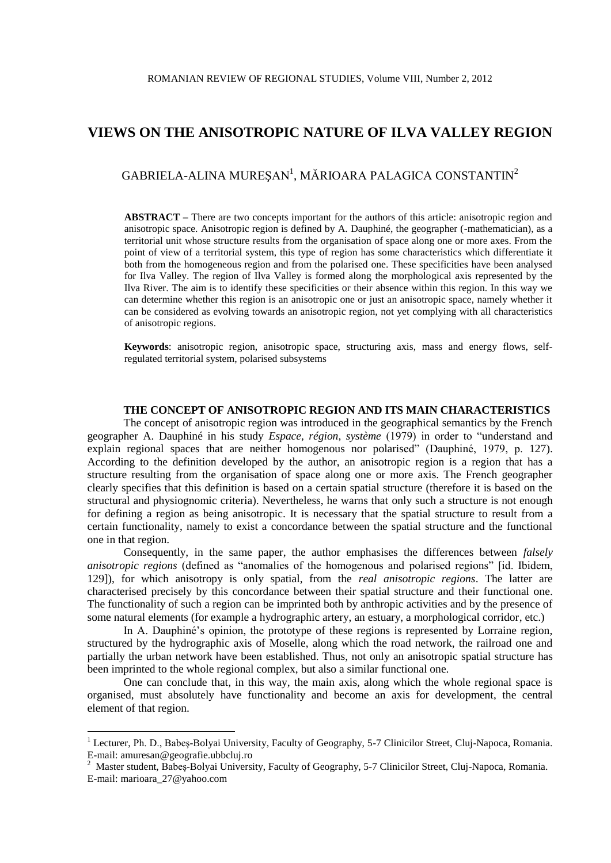# **VIEWS ON THE ANISOTROPIC NATURE OF ILVA VALLEY REGION**

## GABRIELA-ALINA MUREȘAN<sup>1</sup>, MĂRIOARA PALAGICA CONSTANTIN<sup>2</sup>

**ABSTRACT –** There are two concepts important for the authors of this article: anisotropic region and anisotropic space. Anisotropic region is defined by A. Dauphiné, the geographer (-mathematician), as a territorial unit whose structure results from the organisation of space along one or more axes. From the point of view of a territorial system, this type of region has some characteristics which differentiate it both from the homogeneous region and from the polarised one. These specificities have been analysed for Ilva Valley. The region of Ilva Valley is formed along the morphological axis represented by the Ilva River. The aim is to identify these specificities or their absence within this region. In this way we can determine whether this region is an anisotropic one or just an anisotropic space, namely whether it can be considered as evolving towards an anisotropic region, not yet complying with all characteristics of anisotropic regions.

**Keywords**: anisotropic region, anisotropic space, structuring axis, mass and energy flows, selfregulated territorial system, polarised subsystems

## **THE CONCEPT OF ANISOTROPIC REGION AND ITS MAIN CHARACTERISTICS**

The concept of anisotropic region was introduced in the geographical semantics by the French geographer A. Dauphiné in his study *Espace, région, système* (1979) in order to "understand and explain regional spaces that are neither homogenous nor polarised" (Dauphiné, 1979, p. 127). According to the definition developed by the author, an anisotropic region is a region that has a structure resulting from the organisation of space along one or more axis. The French geographer clearly specifies that this definition is based on a certain spatial structure (therefore it is based on the structural and physiognomic criteria). Nevertheless, he warns that only such a structure is not enough for defining a region as being anisotropic. It is necessary that the spatial structure to result from a certain functionality, namely to exist a concordance between the spatial structure and the functional one in that region.

Consequently, in the same paper, the author emphasises the differences between *falsely anisotropic regions* (defined as "anomalies of the homogenous and polarised regions" [id. Ibidem, 129]), for which anisotropy is only spatial, from the *real anisotropic regions*. The latter are characterised precisely by this concordance between their spatial structure and their functional one. The functionality of such a region can be imprinted both by anthropic activities and by the presence of some natural elements (for example a hydrographic artery, an estuary, a morphological corridor, etc.)

In A. Dauphiné's opinion, the prototype of these regions is represented by Lorraine region, structured by the hydrographic axis of Moselle, along which the road network, the railroad one and partially the urban network have been established. Thus, not only an anisotropic spatial structure has been imprinted to the whole regional complex, but also a similar functional one.

One can conclude that, in this way, the main axis, along which the whole regional space is organised, must absolutely have functionality and become an axis for development, the central element of that region.

1

<sup>&</sup>lt;sup>1</sup> Lecturer, Ph. D., Babeș-Bolyai University, Faculty of Geography, 5-7 Clinicilor Street, Cluj-Napoca, Romania. E-mail: amuresan@geografie.ubbcluj.ro

<sup>2</sup> Master student, Babeş-Bolyai University, Faculty of Geography, 5-7 Clinicilor Street, Cluj-Napoca, Romania. E-mail: marioara\_27@yahoo.com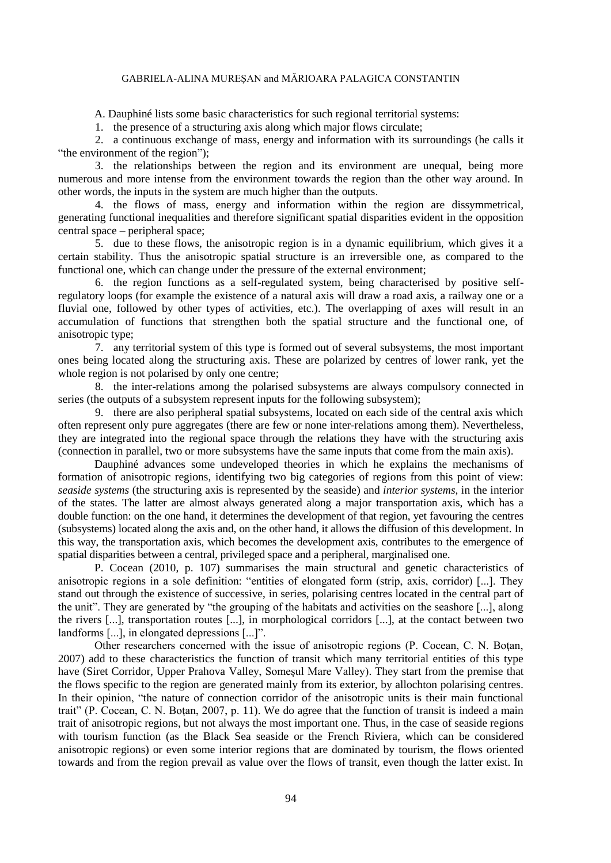#### GABRIELA-ALINA MUREŞAN and MĂRIOARA PALAGICA CONSTANTIN

A. Dauphiné lists some basic characteristics for such regional territorial systems:

1. the presence of a structuring axis along which major flows circulate;

2. a continuous exchange of mass, energy and information with its surroundings (he calls it "the environment of the region"):

3. the relationships between the region and its environment are unequal, being more numerous and more intense from the environment towards the region than the other way around. In other words, the inputs in the system are much higher than the outputs.

4. the flows of mass, energy and information within the region are dissymmetrical, generating functional inequalities and therefore significant spatial disparities evident in the opposition central space – peripheral space;

5. due to these flows, the anisotropic region is in a dynamic equilibrium, which gives it a certain stability. Thus the anisotropic spatial structure is an irreversible one, as compared to the functional one, which can change under the pressure of the external environment;

6. the region functions as a self-regulated system, being characterised by positive selfregulatory loops (for example the existence of a natural axis will draw a road axis, a railway one or a fluvial one, followed by other types of activities, etc.). The overlapping of axes will result in an accumulation of functions that strengthen both the spatial structure and the functional one, of anisotropic type;

7. any territorial system of this type is formed out of several subsystems, the most important ones being located along the structuring axis. These are polarized by centres of lower rank, yet the whole region is not polarised by only one centre;

8. the inter-relations among the polarised subsystems are always compulsory connected in series (the outputs of a subsystem represent inputs for the following subsystem);

9. there are also peripheral spatial subsystems, located on each side of the central axis which often represent only pure aggregates (there are few or none inter-relations among them). Nevertheless, they are integrated into the regional space through the relations they have with the structuring axis (connection in parallel, two or more subsystems have the same inputs that come from the main axis).

Dauphiné advances some undeveloped theories in which he explains the mechanisms of formation of anisotropic regions, identifying two big categories of regions from this point of view: *seaside systems* (the structuring axis is represented by the seaside) and *interior systems*, in the interior of the states. The latter are almost always generated along a major transportation axis, which has a double function: on the one hand, it determines the development of that region, yet favouring the centres (subsystems) located along the axis and, on the other hand, it allows the diffusion of this development. In this way, the transportation axis, which becomes the development axis, contributes to the emergence of spatial disparities between a central, privileged space and a peripheral, marginalised one.

P. Cocean (2010, p. 107) summarises the main structural and genetic characteristics of anisotropic regions in a sole definition: "entities of elongated form (strip, axis, corridor) [...]. They stand out through the existence of successive, in series, polarising centres located in the central part of the unit". They are generated by "the grouping of the habitats and activities on the seashore [...], along the rivers [...], transportation routes [...], in morphological corridors [...], at the contact between two landforms [...], in elongated depressions [...]".

Other researchers concerned with the issue of anisotropic regions (P. Cocean, C. N. Botan, 2007) add to these characteristics the function of transit which many territorial entities of this type have (Siret Corridor, Upper Prahova Valley, Someşul Mare Valley). They start from the premise that the flows specific to the region are generated mainly from its exterior, by allochton polarising centres. In their opinion, "the nature of connection corridor of the anisotropic units is their main functional trait" (P. Cocean, C. N. Botan, 2007, p. 11). We do agree that the function of transit is indeed a main trait of anisotropic regions, but not always the most important one. Thus, in the case of seaside regions with tourism function (as the Black Sea seaside or the French Riviera, which can be considered anisotropic regions) or even some interior regions that are dominated by tourism, the flows oriented towards and from the region prevail as value over the flows of transit, even though the latter exist. In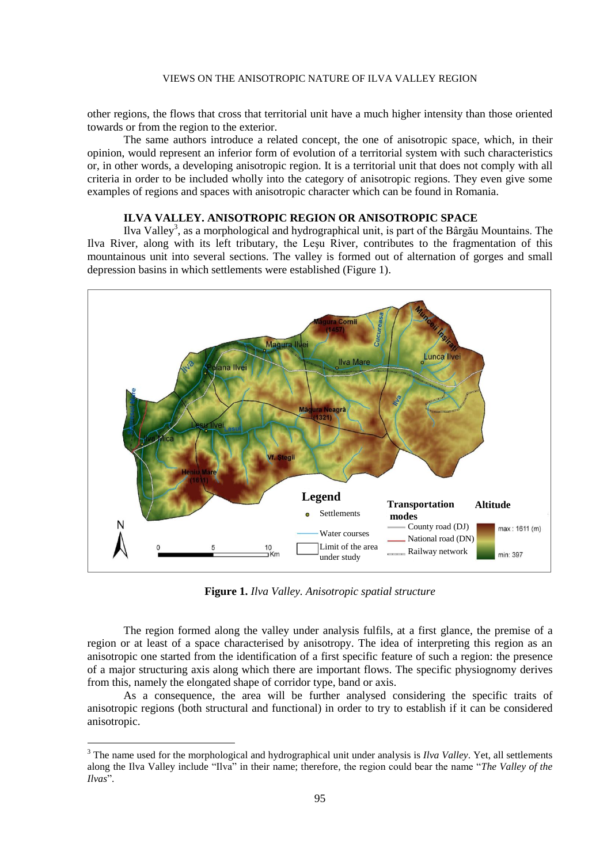#### VIEWS ON THE ANISOTROPIC NATURE OF ILVA VALLEY REGION

other regions, the flows that cross that territorial unit have a much higher intensity than those oriented towards or from the region to the exterior.

The same authors introduce a related concept, the one of anisotropic space, which, in their opinion, would represent an inferior form of evolution of a territorial system with such characteristics or, in other words, a developing anisotropic region. It is a territorial unit that does not comply with all criteria in order to be included wholly into the category of anisotropic regions. They even give some examples of regions and spaces with anisotropic character which can be found in Romania.

## **ILVA VALLEY. ANISOTROPIC REGION OR ANISOTROPIC SPACE**

Ilva Valley<sup>3</sup>, as a morphological and hydrographical unit, is part of the Bârgău Mountains. The Ilva River, along with its left tributary, the Leşu River, contributes to the fragmentation of this mountainous unit into several sections. The valley is formed out of alternation of gorges and small depression basins in which settlements were established (Figure 1).



**Figure 1.** *Ilva Valley. Anisotropic spatial structure*

The region formed along the valley under analysis fulfils, at a first glance, the premise of a region or at least of a space characterised by anisotropy. The idea of interpreting this region as an anisotropic one started from the identification of a first specific feature of such a region: the presence of a major structuring axis along which there are important flows. The specific physiognomy derives from this, namely the elongated shape of corridor type, band or axis.

As a consequence, the area will be further analysed considering the specific traits of anisotropic regions (both structural and functional) in order to try to establish if it can be considered anisotropic.

<u>.</u>

<sup>&</sup>lt;sup>3</sup> The name used for the morphological and hydrographical unit under analysis is *Ilva Valley*. Yet, all settlements along the Ilva Valley include "Ilva" in their name; therefore, the region could bear the name "*The Valley of the Ilvas*".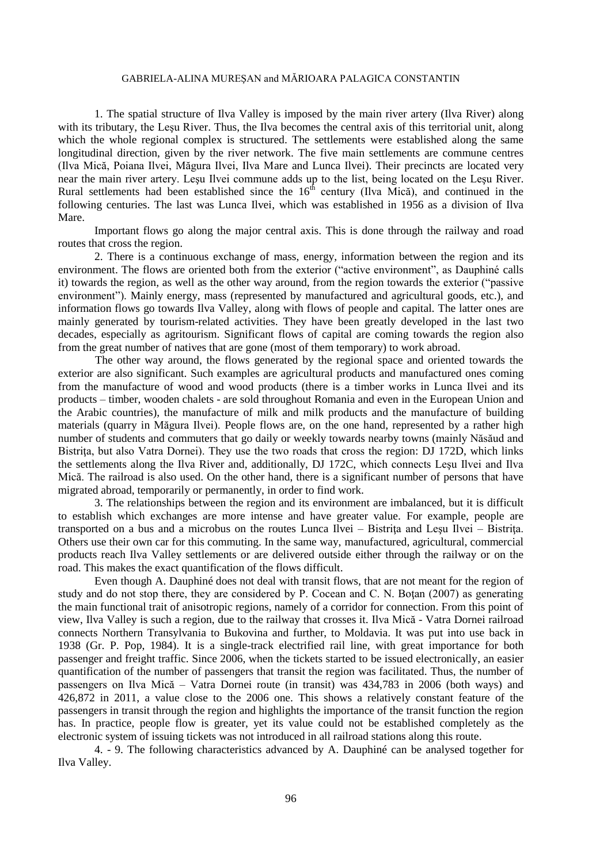#### GABRIELA-ALINA MUREŞAN and MĂRIOARA PALAGICA CONSTANTIN

1. The spatial structure of Ilva Valley is imposed by the main river artery (Ilva River) along with its tributary, the Leşu River. Thus, the Ilva becomes the central axis of this territorial unit, along which the whole regional complex is structured. The settlements were established along the same longitudinal direction, given by the river network. The five main settlements are commune centres (Ilva Mică, Poiana Ilvei, Măgura Ilvei, Ilva Mare and Lunca Ilvei). Their precincts are located very near the main river artery. Leşu Ilvei commune adds up to the list, being located on the Leşu River. Rural settlements had been established since the  $16<sup>th</sup>$  century (Ilva Mică), and continued in the following centuries. The last was Lunca Ilvei, which was established in 1956 as a division of Ilva Mare.

Important flows go along the major central axis. This is done through the railway and road routes that cross the region.

2. There is a continuous exchange of mass, energy, information between the region and its environment. The flows are oriented both from the exterior ("active environment", as Dauphiné calls it) towards the region, as well as the other way around, from the region towards the exterior ("passive environment"). Mainly energy, mass (represented by manufactured and agricultural goods, etc.), and information flows go towards Ilva Valley, along with flows of people and capital. The latter ones are mainly generated by tourism-related activities. They have been greatly developed in the last two decades, especially as agritourism. Significant flows of capital are coming towards the region also from the great number of natives that are gone (most of them temporary) to work abroad.

The other way around, the flows generated by the regional space and oriented towards the exterior are also significant. Such examples are agricultural products and manufactured ones coming from the manufacture of wood and wood products (there is a timber works in Lunca Ilvei and its products – timber, wooden chalets - are sold throughout Romania and even in the European Union and the Arabic countries), the manufacture of milk and milk products and the manufacture of building materials (quarry in Măgura Ilvei). People flows are, on the one hand, represented by a rather high number of students and commuters that go daily or weekly towards nearby towns (mainly Năsăud and Bistrita, but also Vatra Dornei). They use the two roads that cross the region: DJ 172D, which links the settlements along the Ilva River and, additionally, DJ 172C, which connects Leşu Ilvei and Ilva Mică. The railroad is also used. On the other hand, there is a significant number of persons that have migrated abroad, temporarily or permanently, in order to find work.

3. The relationships between the region and its environment are imbalanced, but it is difficult to establish which exchanges are more intense and have greater value. For example, people are transported on a bus and a microbus on the routes Lunca Ilvei – Bistrita and Lesu Ilvei – Bistrita. Others use their own car for this commuting. In the same way, manufactured, agricultural, commercial products reach Ilva Valley settlements or are delivered outside either through the railway or on the road. This makes the exact quantification of the flows difficult.

Even though A. Dauphiné does not deal with transit flows, that are not meant for the region of study and do not stop there, they are considered by P. Cocean and C. N. Botan  $(2007)$  as generating the main functional trait of anisotropic regions, namely of a corridor for connection. From this point of view, Ilva Valley is such a region, due to the railway that crosses it. Ilva Mică - Vatra Dornei railroad connects Northern Transylvania to Bukovina and further, to Moldavia. It was put into use back in 1938 (Gr. P. Pop, 1984). It is a single-track electrified rail line, with great importance for both passenger and freight traffic. Since 2006, when the tickets started to be issued electronically, an easier quantification of the number of passengers that transit the region was facilitated. Thus, the number of passengers on Ilva Mică – Vatra Dornei route (in transit) was 434,783 in 2006 (both ways) and 426,872 in 2011, a value close to the 2006 one. This shows a relatively constant feature of the passengers in transit through the region and highlights the importance of the transit function the region has. In practice, people flow is greater, yet its value could not be established completely as the electronic system of issuing tickets was not introduced in all railroad stations along this route.

4. - 9. The following characteristics advanced by A. Dauphiné can be analysed together for Ilva Valley.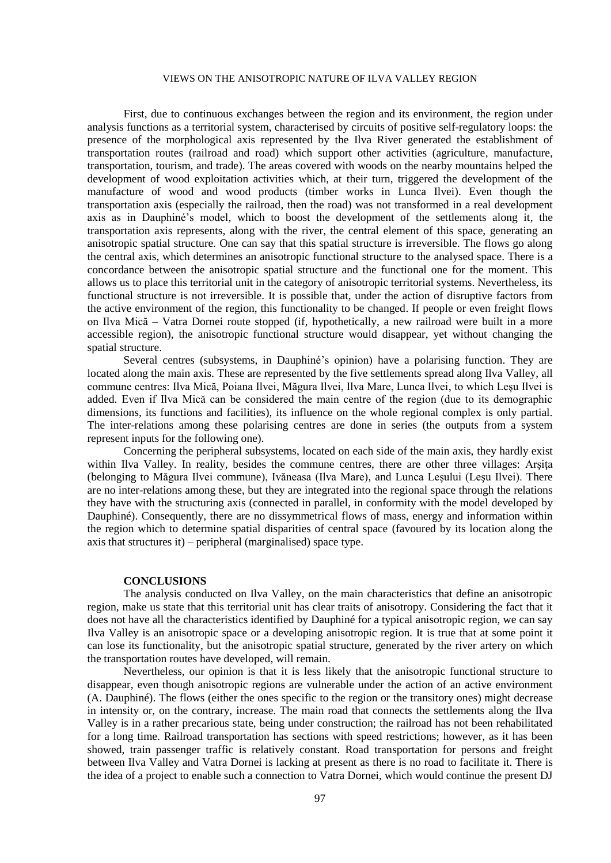#### VIEWS ON THE ANISOTROPIC NATURE OF ILVA VALLEY REGION

First, due to continuous exchanges between the region and its environment, the region under analysis functions as a territorial system, characterised by circuits of positive self-regulatory loops: the presence of the morphological axis represented by the Ilva River generated the establishment of transportation routes (railroad and road) which support other activities (agriculture, manufacture, transportation, tourism, and trade). The areas covered with woods on the nearby mountains helped the development of wood exploitation activities which, at their turn, triggered the development of the manufacture of wood and wood products (timber works in Lunca Ilvei). Even though the transportation axis (especially the railroad, then the road) was not transformed in a real development axis as in Dauphiné's model, which to boost the development of the settlements along it, the transportation axis represents, along with the river, the central element of this space, generating an anisotropic spatial structure. One can say that this spatial structure is irreversible. The flows go along the central axis, which determines an anisotropic functional structure to the analysed space. There is a concordance between the anisotropic spatial structure and the functional one for the moment. This allows us to place this territorial unit in the category of anisotropic territorial systems. Nevertheless, its functional structure is not irreversible. It is possible that, under the action of disruptive factors from the active environment of the region, this functionality to be changed. If people or even freight flows on Ilva Mică – Vatra Dornei route stopped (if, hypothetically, a new railroad were built in a more accessible region), the anisotropic functional structure would disappear, yet without changing the spatial structure.

Several centres (subsystems, in Dauphiné's opinion) have a polarising function. They are located along the main axis. These are represented by the five settlements spread along Ilva Valley, all commune centres: Ilva Mică, Poiana Ilvei, Măgura Ilvei, Ilva Mare, Lunca Ilvei, to which Leşu Ilvei is added. Even if Ilva Mică can be considered the main centre of the region (due to its demographic dimensions, its functions and facilities), its influence on the whole regional complex is only partial. The inter-relations among these polarising centres are done in series (the outputs from a system represent inputs for the following one).

Concerning the peripheral subsystems, located on each side of the main axis, they hardly exist within Ilva Valley. In reality, besides the commune centres, there are other three villages: Arşiţa (belonging to Măgura Ilvei commune), Ivăneasa (Ilva Mare), and Lunca Leşului (Leşu Ilvei). There are no inter-relations among these, but they are integrated into the regional space through the relations they have with the structuring axis (connected in parallel, in conformity with the model developed by Dauphiné). Consequently, there are no dissymmetrical flows of mass, energy and information within the region which to determine spatial disparities of central space (favoured by its location along the axis that structures it) – peripheral (marginalised) space type.

#### **CONCLUSIONS**

The analysis conducted on Ilva Valley, on the main characteristics that define an anisotropic region, make us state that this territorial unit has clear traits of anisotropy. Considering the fact that it does not have all the characteristics identified by Dauphiné for a typical anisotropic region, we can say Ilva Valley is an anisotropic space or a developing anisotropic region. It is true that at some point it can lose its functionality, but the anisotropic spatial structure, generated by the river artery on which the transportation routes have developed, will remain.

Nevertheless, our opinion is that it is less likely that the anisotropic functional structure to disappear, even though anisotropic regions are vulnerable under the action of an active environment (A. Dauphiné). The flows (either the ones specific to the region or the transitory ones) might decrease in intensity or, on the contrary, increase. The main road that connects the settlements along the Ilva Valley is in a rather precarious state, being under construction; the railroad has not been rehabilitated for a long time. Railroad transportation has sections with speed restrictions; however, as it has been showed, train passenger traffic is relatively constant. Road transportation for persons and freight between Ilva Valley and Vatra Dornei is lacking at present as there is no road to facilitate it. There is the idea of a project to enable such a connection to Vatra Dornei, which would continue the present DJ